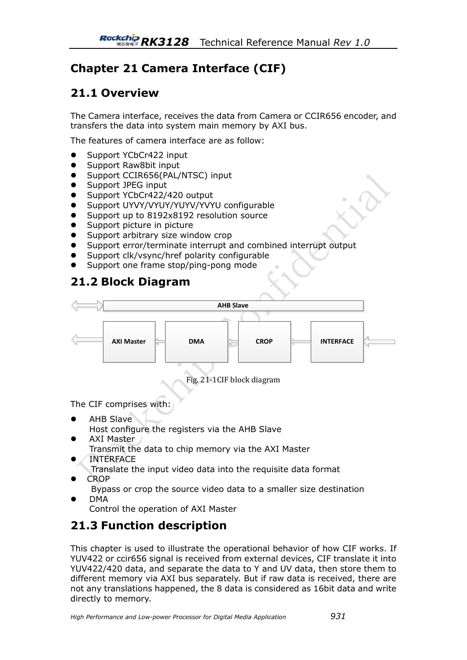# **Chapter 21 Camera Interface (CIF)**

# **21.1 Overview**

The Camera interface, receives the data from Camera or CCIR656 encoder, and transfers the data into system main memory by AXI bus.

The features of camera interface are as follow:

- Support YCbCr422 input
- Support Raw8bit input
- Support CCIR656(PAL/NTSC) input
- Support JPEG input
- Support YCbCr422/420 output
- Support UYVY/VYUY/YUYV/YVYU configurable
- Support up to 8192x8192 resolution source
- Support picture in picture
- Support arbitrary size window crop
- Support error/terminate interrupt and combined interrupt output
- Support clk/vsync/href polarity configurable
- Support one frame stop/ping-pong mode

## **21.2 Block Diagram**



Fig. 21-1CIF block diagram

The CIF comprises with:

- AHB Slave Host configure the registers via the AHB Slave
- AXI Master
	- Transmit the data to chip memory via the AXI Master
- INTERFACE
	- Translate the input video data into the requisite data format
- CROP

Bypass or crop the source video data to a smaller size destination DMA

Control the operation of AXI Master

# **21.3 Function description**

This chapter is used to illustrate the operational behavior of how CIF works. If YUV422 or ccir656 signal is received from external devices, CIF translate it into YUV422/420 data, and separate the data to Y and UV data, then store them to different memory via AXI bus separately. But if raw data is received, there are not any translations happened, the 8 data is considered as 16bit data and write directly to memory.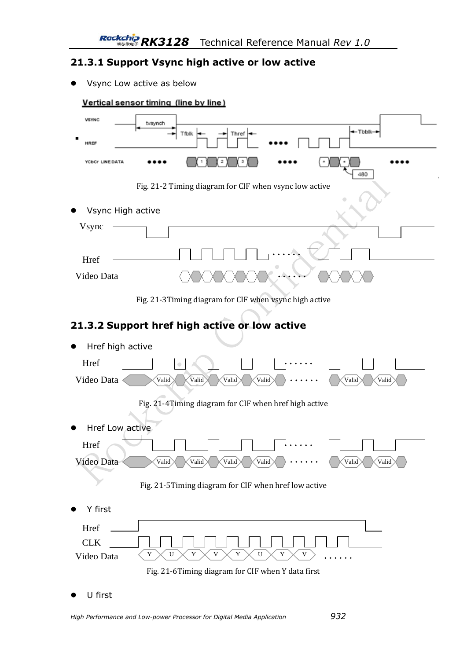## **21.3.1 Support Vsync high active or low active**

Vsync Low active as below



U first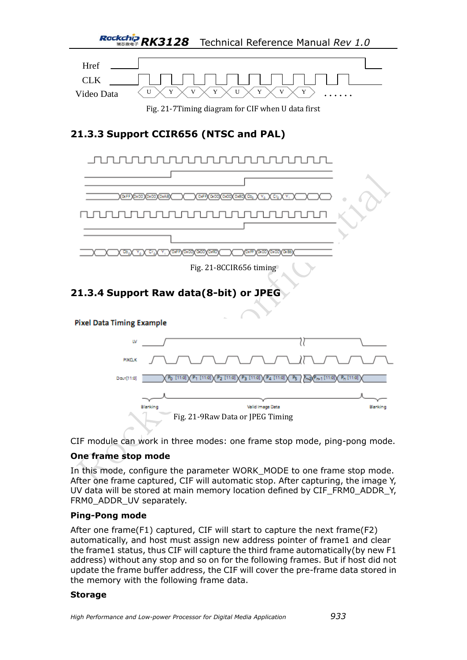

Fig. 21-7Timing diagram for CIF when U data first

# **21.3.3 Support CCIR656 (NTSC and PAL)**



CIF module can work in three modes: one frame stop mode, ping-pong mode.

## **One frame stop mode**

In this mode, configure the parameter WORK\_MODE to one frame stop mode. After one frame captured, CIF will automatic stop. After capturing, the image Y, UV data will be stored at main memory location defined by CIF\_FRM0\_ADDR\_Y, FRM0\_ADDR\_UV separately.

### **Ping-Pong mode**

After one frame(F1) captured, CIF will start to capture the next frame(F2) automatically, and host must assign new address pointer of frame1 and clear the frame1 status, thus CIF will capture the third frame automatically(by new F1 address) without any stop and so on for the following frames. But if host did not update the frame buffer address, the CIF will cover the pre-frame data stored in the memory with the following frame data.

#### **Storage**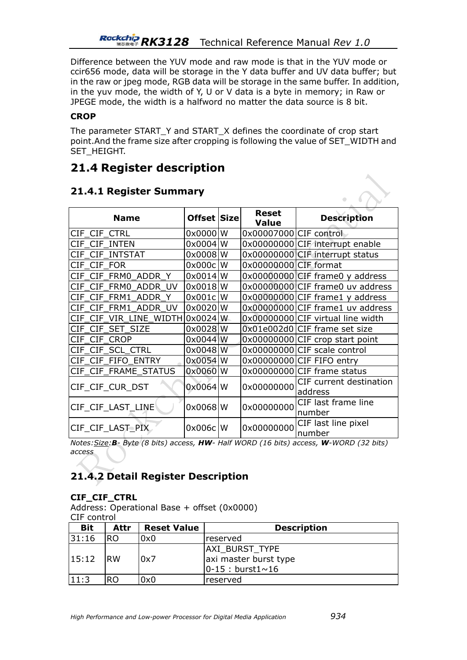Difference between the YUV mode and raw mode is that in the YUV mode or ccir656 mode, data will be storage in the Y data buffer and UV data buffer; but in the raw or jpeg mode, RGB data will be storage in the same buffer. In addition, in the yuv mode, the width of Y, U or V data is a byte in memory; in Raw or JPEGE mode, the width is a halfword no matter the data source is 8 bit.

### **CROP**

The parameter START\_Y and START\_X defines the coordinate of crop start point.And the frame size after cropping is following the value of SET\_WIDTH and SET\_HEIGHT.

## **21.4 Register description**

| <b>Name</b>             | Offset Size |    | <b>Reset</b><br><b>Value</b> | <b>Description</b>                 |
|-------------------------|-------------|----|------------------------------|------------------------------------|
| CIF CIF CTRL            | $0x0000$ W  |    | 0x00007000 CIF control       |                                    |
| CIF CIF INTEN           | $0x0004$ W  |    |                              | 0x00000000 CIF interrupt enable    |
| CIF CIF INTSTAT         | $0x0008$ W  |    |                              | 0x00000000 CIF interrupt status    |
| CIF CIF FOR             | 0x000c      | W  | 0x00000000 CIF format        |                                    |
| CIF CIF FRM0 ADDR Y     | 0x0014      | W  |                              | $0x00000000$ CIF frame0 y address  |
| CIF CIF FRM0 ADDR UV    | $0x0018$ W  |    |                              | 0x00000000 CIF frame0 uv address   |
| CIF CIF FRM1 ADDR Y     | 0x001c      | W  |                              | 0x00000000 CIF frame1 y address    |
| CIF FRM1 ADDR UV<br>CIE | 0x0020      | W  |                              | 0x00000000 CIF frame1 uv address   |
| CIF CIF VIR LINE WIDTH  | $0x0024$ W  |    |                              | 0x00000000 CIF virtual line width  |
| CIF CIF SET SIZE        | 0x0028 W    |    |                              | 0x01e002d0 CIF frame set size      |
| CIF CIF CROP            | 0x0044 W    |    |                              | $0x00000000$ CIF crop start point  |
| CIF_CIF_SCL_CTRL        | 0x0048      | lW |                              | 0x00000000 CIF scale control       |
| CIF CIF FIFO ENTRY      | $0x0054$ W  |    |                              | 0x00000000 CIF FIFO entry          |
| CIF CIF_FRAME_STATUS    | 0x0060      | W  |                              | 0x00000000 CIF frame status        |
| CIF CIF CUR DST         | $0x0064$ W  |    | 0x00000000                   | CIF current destination<br>address |
| CIF_CIF_LAST_LINE       | $0x0068$ W  |    | 0x00000000                   | CIF last frame line<br>number      |
| CIF_CIF_LAST_PIX        | $0x006c$ W  |    | 0x00000000                   | CIF last line pixel<br>number      |

## **21.4.1 Register Summary**

*Notes:Size:B- Byte (8 bits) access, HW- Half WORD (16 bits) access, W-WORD (32 bits) access* 

## **21.4.2 Detail Register Description**

### **CIF\_CIF\_CTRL**

Address: Operational Base + offset (0x0000) CIF control

| <b>Bit</b> | Attr           | <b>Reset Value</b> | <b>Description</b>                                                   |
|------------|----------------|--------------------|----------------------------------------------------------------------|
| 31:16      | IRO.           | 0x0                | Ireserved                                                            |
| 15:12      | <b>IRW</b>     | 0x7                | <b>AXI BURST TYPE</b><br>axi master burst type<br>$ 0-15: burst1~10$ |
| 11:3       | R <sub>O</sub> | 0x0                | Ireserved                                                            |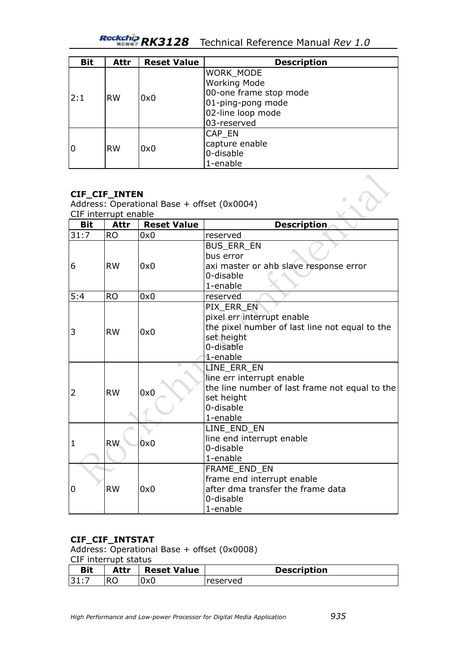*RK3128* Technical Reference Manual *Rev 1.0*

| <b>Bit</b> | Attr      | <b>Reset Value</b> | <b>Description</b>     |
|------------|-----------|--------------------|------------------------|
|            |           |                    | WORK_MODE              |
|            |           |                    | <b>Working Mode</b>    |
| 2:1        | <b>RW</b> |                    | 00-one frame stop mode |
|            |           | 0x0                | 01-ping-pong mode      |
|            |           |                    | 02-line loop mode      |
|            |           |                    | 03-reserved            |
|            |           |                    | CAP_EN                 |
| ۱0         |           | 0x0                | capture enable         |
|            | <b>RW</b> |                    | 0-disable              |
|            |           |                    | 1-enable               |

#### **CIF\_CIF\_INTEN**

Address: Operational Base + offset (0x0004) CIF interrupt enable

| --- ------------<br><b>Bit</b> | -----<br>Attr          | <b>Reset Value</b> | <b>Description</b>                                                                                                                |
|--------------------------------|------------------------|--------------------|-----------------------------------------------------------------------------------------------------------------------------------|
| 31:7                           | <b>RO</b>              | 0x0                | reserved                                                                                                                          |
| 6                              | <b>RW</b><br><b>RO</b> | 0x0<br>0x0         | <b>BUS ERR EN</b><br>bus error<br>axi master or ahb slave response error<br>0-disable<br>1-enable                                 |
| 5:4                            |                        |                    | reserved                                                                                                                          |
| 3                              | <b>RW</b>              | 0x0                | PIX ERR EN<br>pixel err interrupt enable<br>the pixel number of last line not equal to the<br>set height<br>0-disable<br>1-enable |
| 2                              | <b>RW</b>              | 0x0                | LINE_ERR_EN<br>line err interrupt enable<br>the line number of last frame not equal to the<br>set height<br>0-disable<br>1-enable |
| 1                              | <b>RW</b>              | 0x0                | LINE_END_EN<br>line end interrupt enable<br>0-disable<br>1-enable                                                                 |
| 0                              | <b>RW</b>              | 0x0                | FRAME_END_EN<br>frame end interrupt enable<br>after dma transfer the frame data<br>0-disable<br>1-enable                          |

### **CIF\_CIF\_INTSTAT**

Address: Operational Base + offset (0x0008)

#### CIF interrupt status

| Bit  | Attr | <b>Reset Value</b> | <b>Description</b> |
|------|------|--------------------|--------------------|
| 31:7 |      | 0x0                | reserved           |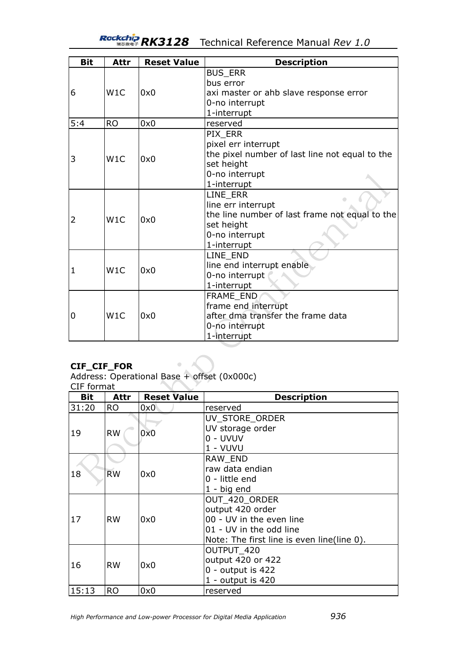# *RK3128* Technical Reference Manual *Rev 1.0*

| <b>Bit</b> | Attr      | <b>Reset Value</b> | <b>Description</b>                             |
|------------|-----------|--------------------|------------------------------------------------|
|            |           |                    | <b>BUS_ERR</b>                                 |
|            |           |                    | bus error                                      |
| 6          | W1C       | 0x0                | axi master or ahb slave response error         |
|            |           |                    | 0-no interrupt                                 |
|            |           |                    | 1-interrupt                                    |
| 5:4        | <b>RO</b> | 0x0                | reserved                                       |
|            |           |                    | PIX ERR                                        |
|            |           |                    | pixel err interrupt                            |
| 3          | W1C       | 0x0                | the pixel number of last line not equal to the |
|            |           |                    | set height                                     |
|            |           |                    | 0-no interrupt                                 |
|            |           |                    | 1-interrupt                                    |
|            |           |                    | LINE_ERR                                       |
|            |           |                    | line err interrupt                             |
| 2          | W1C       | 0x0                | the line number of last frame not equal to the |
|            |           |                    | set height                                     |
|            |           |                    | 0-no interrupt                                 |
|            |           |                    | 1-interrupt                                    |
|            |           |                    | LINE_END                                       |
| 1          |           | W1C<br>0x0         | line end interrupt enable                      |
|            |           |                    | 0-no interrupt                                 |
|            |           |                    | 1-interrupt                                    |
|            |           |                    | FRAME_END                                      |
| 0          | W1C       |                    | frame end interrupt                            |
|            |           | 0x0                | after dma transfer the frame data              |
|            |           |                    | 0-no interrupt                                 |
|            |           |                    | 1-interrupt                                    |

## **CIF\_CIF\_FOR**

Address: Operational Base + offset (0x000c)

 $\begin{array}{c} \bullet \\ \bullet \end{array}$ 

| ormal |  |
|-------|--|
|       |  |

| <b>Bit</b> | Attr      | <b>Reset Value</b> | <b>Description</b>                         |
|------------|-----------|--------------------|--------------------------------------------|
| 31:20      | <b>RO</b> | 0x0                | reserved                                   |
|            |           |                    | UV_STORE_ORDER                             |
| 19         | <b>RW</b> | 0x0                | UV storage order                           |
|            |           |                    | 0 - UVUV                                   |
|            |           |                    | 1 - VUVU                                   |
|            |           |                    | RAW END                                    |
| 18         | <b>RW</b> | 0x0                | raw data endian                            |
|            |           |                    | 0 - little end                             |
|            |           |                    | $1 - big$ end                              |
|            |           |                    | OUT_420_ORDER                              |
|            |           |                    | output 420 order                           |
| 17         | <b>RW</b> | 0x0                | 00 - UV in the even line                   |
|            |           |                    | 01 - UV in the odd line                    |
|            |           |                    | Note: The first line is even line(line 0). |
|            |           |                    | OUTPUT 420                                 |
| 16         | <b>RW</b> | 0x0                | output 420 or 422                          |
|            |           |                    | $0$ - output is 422                        |
|            |           |                    | 1 - output is 420                          |
| 15:13      | <b>RO</b> | 0x0                | reserved                                   |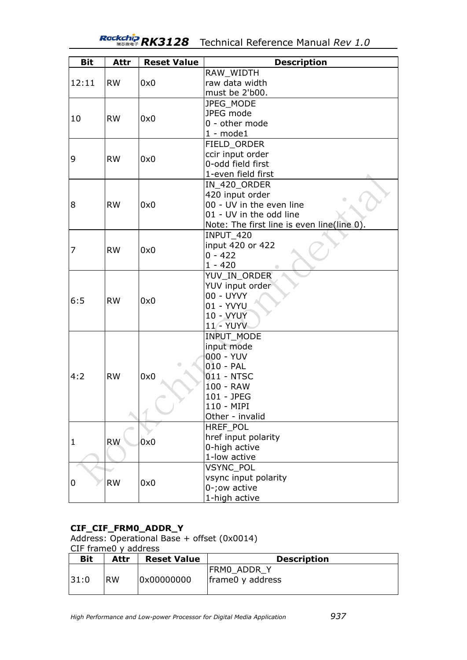# *RK3128* Technical Reference Manual *Rev 1.0*

| <b>Bit</b> | Attr      | <b>Reset Value</b> | <b>Description</b>                         |
|------------|-----------|--------------------|--------------------------------------------|
|            |           |                    | RAW_WIDTH                                  |
| 12:11      | <b>RW</b> | 0x0                | raw data width                             |
|            |           |                    | must be 2'b00.                             |
|            |           |                    | JPEG_MODE                                  |
|            |           |                    | JPEG mode                                  |
| 10         | <b>RW</b> | 0x0                | 0 - other mode                             |
|            |           |                    | $1 - model$                                |
|            |           |                    | FIELD ORDER                                |
|            |           |                    | ccir input order                           |
| 9          | <b>RW</b> | 0x0                | 0-odd field first                          |
|            |           |                    | 1-even field first                         |
|            |           |                    | IN_420_ORDER                               |
|            |           |                    | 420 input order                            |
| 8          | <b>RW</b> | 0x0                | 00 - UV in the even line                   |
|            |           |                    | 01 - UV in the odd line                    |
|            |           |                    | Note: The first line is even line(line 0). |
|            |           |                    | <b>INPUT 420</b>                           |
| 7          | <b>RW</b> |                    | input 420 or 422                           |
|            |           | 0x0                | $0 - 422$                                  |
|            |           |                    | $1 - 420$                                  |
|            |           |                    | YUV_IN_ORDER                               |
|            |           |                    | YUV input order                            |
| 6:5        | <b>RW</b> | 0x0                | 00 - UYVY                                  |
|            |           |                    | 01 - YVYU                                  |
|            |           |                    | <b>10 - VYUY</b>                           |
|            |           |                    | <b>11 - YUYV</b>                           |
|            |           |                    | <b>INPUT MODE</b>                          |
|            |           |                    | input mode                                 |
|            |           |                    | 000 - YUV                                  |
|            |           | $\bullet$          | $010 - PAL$                                |
| 4:2        | <b>RW</b> | 0x0                | 011 - NTSC                                 |
|            |           |                    | 100 - RAW                                  |
|            |           |                    | 101 - JPEG                                 |
|            |           |                    | 110 - MIPI                                 |
|            |           |                    | Other - invalid                            |
|            |           |                    | HREF_POL                                   |
| 1          | <b>RW</b> | 0x0                | href input polarity                        |
|            |           |                    | 0-high active                              |
|            |           |                    | 1-low active                               |
|            |           |                    | <b>VSYNC POL</b>                           |
| 0          | <b>RW</b> | 0x0                | vsync input polarity                       |
|            |           |                    | 0-; ow active                              |
|            |           |                    | 1-high active                              |

## **CIF\_CIF\_FRM0\_ADDR\_Y**

Address: Operational Base + offset (0x0014) CIF frame0 y address

| <b>Bit</b> | Attr      | <b>Reset Value</b> | <b>Description</b>              |  |  |
|------------|-----------|--------------------|---------------------------------|--|--|
| 131:0      | <b>RW</b> | 0x00000000         | FRMO ADDR Y<br>frame0 y address |  |  |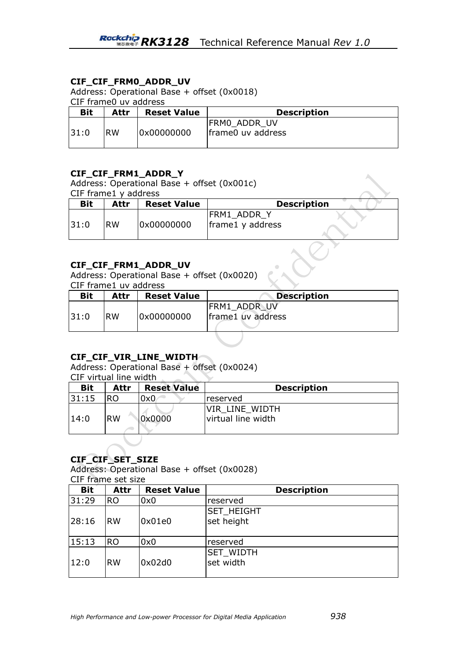### **CIF\_CIF\_FRM0\_ADDR\_UV**

Address: Operational Base + offset (0x0018)

CIF frame0 uv address

| <b>Bit</b> | Attr      | <b>Reset Value</b> | <b>Description</b>                 |  |
|------------|-----------|--------------------|------------------------------------|--|
| 131:0      | <b>RW</b> | 0x00000000         | IFRMO ADDR UV<br>frame0 uv address |  |

### **CIF\_CIF\_FRM1\_ADDR\_Y**

Address: Operational Base + offset (0x001c) CIF frame1 y address

| Bit  | Attr      | <b>Reset Value</b>   |                                 | <b>Description</b> |
|------|-----------|----------------------|---------------------------------|--------------------|
| 31:0 | <b>RW</b> | 0x00000000           | FRM1_ADDR_Y<br>frame1 y address |                    |
|      |           | CIF CIF FRM1 ADDR UV |                                 |                    |

## **CIF\_CIF\_FRM1\_ADDR\_UV**

Address: Operational Base + offset (0x0020) CIF frame1 uv address

| <b>Bit</b> | Attr      | <b>Reset Value</b> | <b>Description</b>                |
|------------|-----------|--------------------|-----------------------------------|
| 31:0       | <b>RW</b> | 0x00000000         | FRM1 ADDR UV<br>frame1 uv address |

### **CIF\_CIF\_VIR\_LINE\_WIDTH**

Address: Operational Base + offset (0x0024)

CIF virtual line width  $\sim$ 

| <b>Bit</b> | Attr      | <b>Reset Value</b> | <b>Description</b>                    |
|------------|-----------|--------------------|---------------------------------------|
| 31:15      | RO        | 0x0                | lreserved                             |
| 14:0       | <b>RW</b> | 0x0000             | VIR LINE WIDTH<br>lvirtual line width |

### **CIF\_CIF\_SET\_SIZE**

Address: Operational Base + offset (0x0028) CIF frame set size

| <b>Bit</b> | Attr      | <b>Reset Value</b> | <b>Description</b> |
|------------|-----------|--------------------|--------------------|
| 31:29      | <b>RO</b> | 0x0                | reserved           |
|            |           |                    | <b>SET_HEIGHT</b>  |
| 28:16      | <b>RW</b> | 0x01e0             | set height         |
|            |           |                    |                    |
| 15:13      | <b>RO</b> | 0x0                | reserved           |
|            |           |                    | <b>SET WIDTH</b>   |
| 12:0       | <b>RW</b> | 0x02d0             | set width          |
|            |           |                    |                    |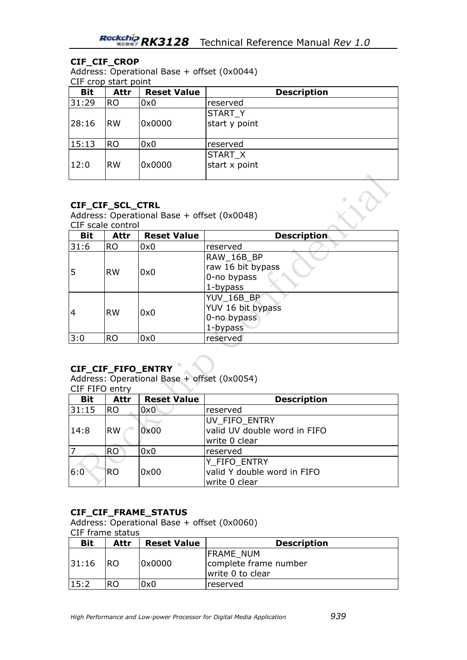### **CIF\_CIF\_CROP**

Address: Operational Base + offset (0x0044) CIF crop start point

| <b>Bit</b> | <b>Attr</b>   | <b>Reset Value</b> | <b>Description</b>       |
|------------|---------------|--------------------|--------------------------|
| 31:29      | <b>RO</b>     | 0x0                | reserved                 |
| 28:16      | <b>RW</b>     | 0x0000             | START_Y<br>start y point |
| 15:13      | <sub>RO</sub> | 0x0                | reserved                 |
| 12:0       | <b>RW</b>     | 0x0000             | START_X<br>start x point |

### **CIF\_CIF\_SCL\_CTRL**

Address: Operational Base + offset (0x0048) CIF scale control

| <b>Bit</b>     | Attr      | <b>Reset Value</b> | <b>Description</b> |
|----------------|-----------|--------------------|--------------------|
| 31:6           | <b>RO</b> | 0x0                | reserved           |
|                |           |                    | RAW_16B_BP         |
| 5              |           |                    | raw 16 bit bypass  |
|                | <b>RW</b> | 0x0                | 0-no bypass        |
|                |           |                    | 1-bypass           |
|                |           | 0x0                | YUV_16B_BP         |
| $\overline{4}$ |           |                    | YUV 16 bit bypass  |
|                | <b>RW</b> |                    | 0-no bypass        |
|                |           |                    | 1-bypass           |
| 3:0            | <b>RO</b> | 0x0                | reserved           |

### **CIF\_CIF\_FIFO\_ENTRY**

Address: Operational Base + offset (0x0054)

|  | F FIFO entrv |
|--|--------------|
|  |              |

| <b>Bit</b> | Attr          | <b>Reset Value</b> | <b>Description</b>           |
|------------|---------------|--------------------|------------------------------|
| 31:15      | <b>RO</b>     | 0x0                | reserved                     |
|            |               |                    | UV FIFO ENTRY                |
| 14:8       | <b>RW</b>     | 0x00               | valid UV double word in FIFO |
|            |               |                    | write 0 clear                |
|            | <b>RO</b>     | 0x0                | reserved                     |
|            |               |                    | Y FIFO ENTRY                 |
| 6:0        | <sub>RO</sub> | 0x00               | valid Y double word in FIFO  |
|            |               |                    | write 0 clear                |

### **CIF\_CIF\_FRAME\_STATUS**

Address: Operational Base + offset (0x0060) CIF frame status

| <b>Bit</b> | Attr | <b>Reset Value</b> | <b>Description</b>                                            |
|------------|------|--------------------|---------------------------------------------------------------|
| 31:16      | RO.  | 0x0000             | <b>FRAME NUM</b><br>complete frame number<br>write 0 to clear |
| 15:2       | RΟ   | 0x0                | lreserved                                                     |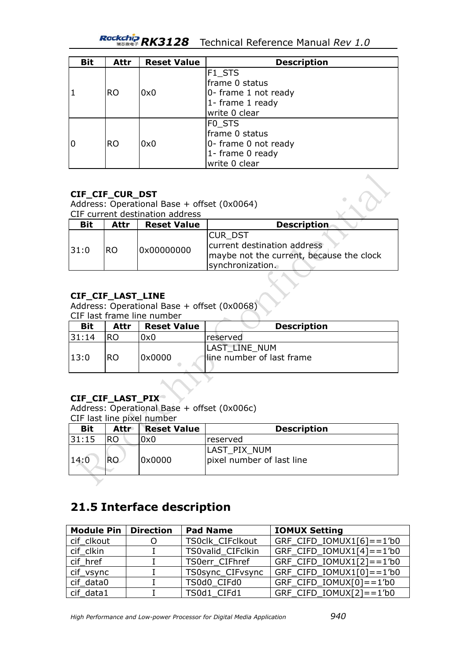# *RK3128* Technical Reference Manual *Rev 1.0*

| <b>Bit</b> | Attr      | <b>Reset Value</b> | <b>Description</b>   |
|------------|-----------|--------------------|----------------------|
|            |           |                    | F <sub>1_STS</sub>   |
|            |           |                    | frame 0 status       |
|            | <b>RO</b> | 0x0                | 0- frame 1 not ready |
|            |           |                    | 1- frame 1 ready     |
|            |           |                    | write 0 clear        |
|            |           |                    | FO STS               |
|            |           |                    | frame 0 status       |
| 10         | <b>RO</b> | 0x0                | 0- frame 0 not ready |
|            |           |                    | 1- frame 0 ready     |
|            |           |                    | write 0 clear        |

### **CIF\_CIF\_CUR\_DST**

Address: Operational Base + offset (0x0064)

|            | CIF current destination address |                    |                                                                                                              |
|------------|---------------------------------|--------------------|--------------------------------------------------------------------------------------------------------------|
| <b>Bit</b> | Attr                            | <b>Reset Value</b> | <b>Description</b>                                                                                           |
| 31:0       | RO.                             | 0x00000000         | <b>CURDST</b><br>current destination address<br>maybe not the current, because the clock<br>synchronization. |

## **CIF\_CIF\_LAST\_LINE**

Address: Operational Base + offset (0x0068) CIF last frame line number

| <b>Bit</b> | Attr | <b>Reset Value</b> | <b>Description</b>        |
|------------|------|--------------------|---------------------------|
| 131:14     | RO   | 0x0                | <i><b>Ireserved</b></i>   |
|            |      |                    | LAST LINE NUM             |
| 13:0       | RO.  | 10x0000            | line number of last frame |
|            |      |                    |                           |

╲

### **CIF\_CIF\_LAST\_PIX**

Address: Operational Base + offset (0x006c) CIF last line pixel number

| <b>Bit</b> | <b>Attr</b> | <b>Reset Value</b> | <b>Description</b>                        |
|------------|-------------|--------------------|-------------------------------------------|
| 31:15      | <b>RO</b>   | 0x0                | <b>reserved</b>                           |
| 14:0       | RO.         | 0x0000             | LAST PIX NUM<br>pixel number of last line |
|            |             |                    |                                           |

# **21.5 Interface description**

| <b>Module Pin</b> | <b>Direction</b> | <b>Pad Name</b>          | <b>IOMUX Setting</b>                          |
|-------------------|------------------|--------------------------|-----------------------------------------------|
| cif clkout        |                  | TS0clk CIFclkout         | $GRF_CIFD_IOMUX1[6] == 1' b0$                 |
| cif clkin         |                  | <b>TS0valid CIFclkin</b> | $GRF_CIFD_IOMUX1[4] == 1' b0$                 |
| cif_href          |                  | TS0err CIFhref           | $GRF_CIFD_IOMUX1[2] == 1'b0$                  |
| cif_vsync         |                  | TS0sync_CIFvsync         | $GRF_C$ IFD_IOMUX1 $[0] == 1$ <sup>'</sup> b0 |
| cif data0         |                  | TS0d0 CIFd0              | $GRF_CIFD_IOMUX[0] == 1'b0$                   |
| cif data1         |                  | TS0d1 CIFd1              | GRF CIFD_IOMUX[2]==1'b0                       |